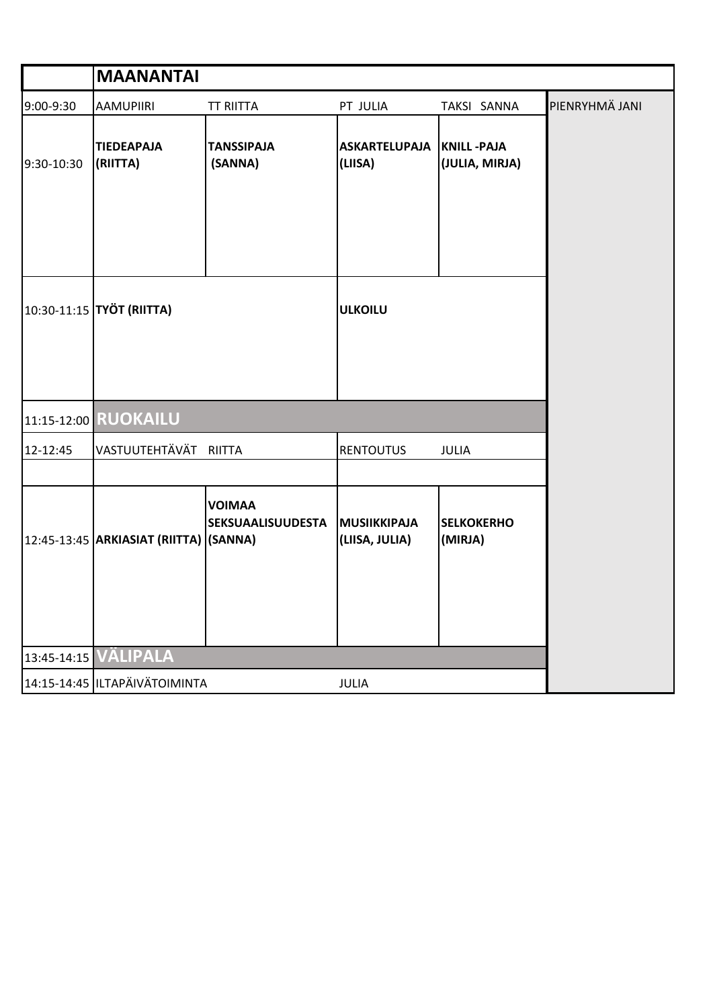|            | <b>MAANANTAI</b>                           |                                           |                                       |                                     |                |
|------------|--------------------------------------------|-------------------------------------------|---------------------------------------|-------------------------------------|----------------|
| 9:00-9:30  | <b>AAMUPIIRI</b>                           | <b>TT RIITTA</b>                          | PT JULIA                              | TAKSI SANNA                         | PIENRYHMÄ JANI |
| 9:30-10:30 | <b>TIEDEAPAJA</b><br>(RIITTA)              | <b>TANSSIPAJA</b><br>(SANNA)              | <b>ASKARTELUPAJA</b><br>(LIISA)       | <b>KNILL-PAJA</b><br>(JULIA, MIRJA) |                |
|            | 10:30-11:15 TYÖT (RIITTA)                  |                                           | <b>ULKOILU</b>                        |                                     |                |
|            | 11:15-12:00 RUOKAILU                       |                                           |                                       |                                     |                |
| 12-12:45   | VASTUUTEHTÄVÄT RIITTA                      |                                           | <b>RENTOUTUS</b>                      | JULIA                               |                |
|            | 12:45-13:45   ARKIASIAT (RIITTA)   (SANNA) | <b>VOIMAA</b><br><b>SEKSUAALISUUDESTA</b> | <b>MUSIIKKIPAJA</b><br>(LIISA, JULIA) | <b>SELKOKERHO</b><br>(MIRJA)        |                |
|            | 13:45-14:15 VÄLIPALA                       |                                           |                                       |                                     |                |
|            | 14:15-14:45 ILTAPÄIVÄTOIMINTA              |                                           | JULIA                                 |                                     |                |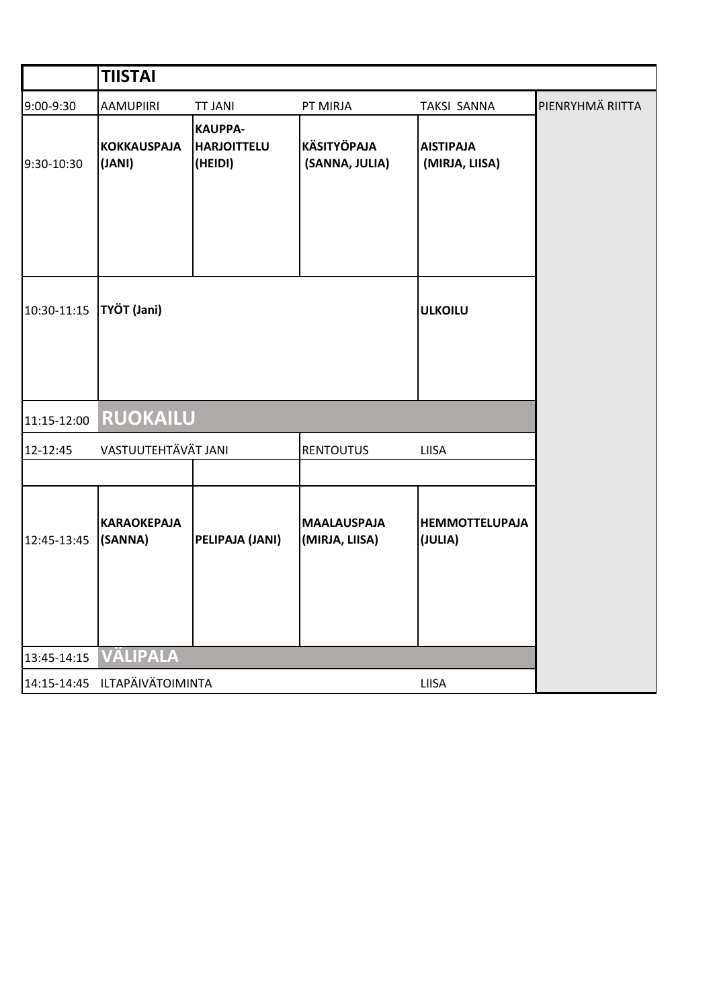|             | <b>TIISTAI</b>                                   |                                                 |                                      |                                    |                  |  |
|-------------|--------------------------------------------------|-------------------------------------------------|--------------------------------------|------------------------------------|------------------|--|
| 9:00-9:30   | <b>AAMUPIIRI</b>                                 | <b>TT JANI</b>                                  | PT MIRJA                             | <b>TAKSI SANNA</b>                 | PIENRYHMÄ RIITTA |  |
| 9:30-10:30  | <b>KOKKAUSPAJA</b><br>(JANI)                     | <b>KAUPPA-</b><br><b>HARJOITTELU</b><br>(HEIDI) | <b>KÄSITYÖPAJA</b><br>(SANNA, JULIA) | <b>AISTIPAJA</b><br>(MIRJA, LIISA) |                  |  |
| 10:30-11:15 | TYÖT (Jani)                                      |                                                 |                                      | <b>ULKOILU</b>                     |                  |  |
| 11:15-12:00 |                                                  |                                                 |                                      |                                    |                  |  |
| 12-12:45    | VASTUUTEHTÄVÄT JANI<br><b>RENTOUTUS</b><br>LIISA |                                                 |                                      |                                    |                  |  |
|             |                                                  |                                                 |                                      |                                    |                  |  |
| 12:45-13:45 | <b>KARAOKEPAJA</b><br>(SANNA)                    | PELIPAJA (JANI)                                 | <b>MAALAUSPAJA</b><br>(MIRJA, LIISA) | <b>HEMMOTTELUPAJA</b><br>(JULIA)   |                  |  |
| 13:45-14:15 | <b>VÄLIPALA</b>                                  |                                                 |                                      |                                    |                  |  |
|             | 14:15-14:45 ILTAPÄIVÄTOIMINTA                    |                                                 |                                      | LIISA                              |                  |  |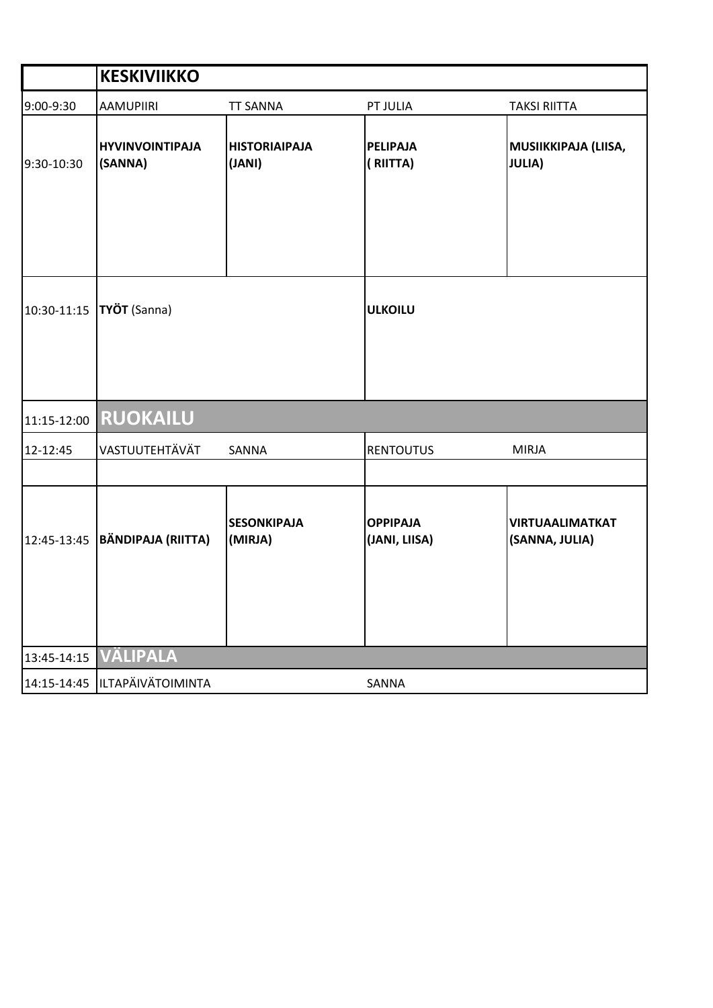|             | <b>KESKIVIIKKO</b>                |                                |                                  |                                          |
|-------------|-----------------------------------|--------------------------------|----------------------------------|------------------------------------------|
| 9:00-9:30   | <b>AAMUPIIRI</b>                  | <b>TT SANNA</b>                | PT JULIA                         | <b>TAKSI RIITTA</b>                      |
| 9:30-10:30  | <b>HYVINVOINTIPAJA</b><br>(SANNA) | <b>HISTORIAIPAJA</b><br>(JANI) | <b>PELIPAJA</b><br>(RIITTA)      | MUSIIKKIPAJA (LIISA,<br><b>JULIA)</b>    |
| 10:30-11:15 | TYÖT (Sanna)                      |                                | <b>ULKOILU</b>                   |                                          |
| 11:15-12:00 | <b>RUOKAILU</b>                   |                                |                                  |                                          |
| 12-12:45    | VASTUUTEHTÄVÄT                    | SANNA                          | <b>RENTOUTUS</b>                 | <b>MIRJA</b>                             |
|             |                                   |                                |                                  |                                          |
| 12:45-13:45 | BÄNDIPAJA (RIITTA)                | <b>SESONKIPAJA</b><br>(MIRJA)  | <b>OPPIPAJA</b><br>(JANI, LIISA) | <b>VIRTUAALIMATKAT</b><br>(SANNA, JULIA) |
| 13:45-14:15 | <b>VÄLIPALA</b>                   |                                |                                  |                                          |
| 14:15-14:45 | ILTAPÄIVÄTOIMINTA                 |                                | SANNA                            |                                          |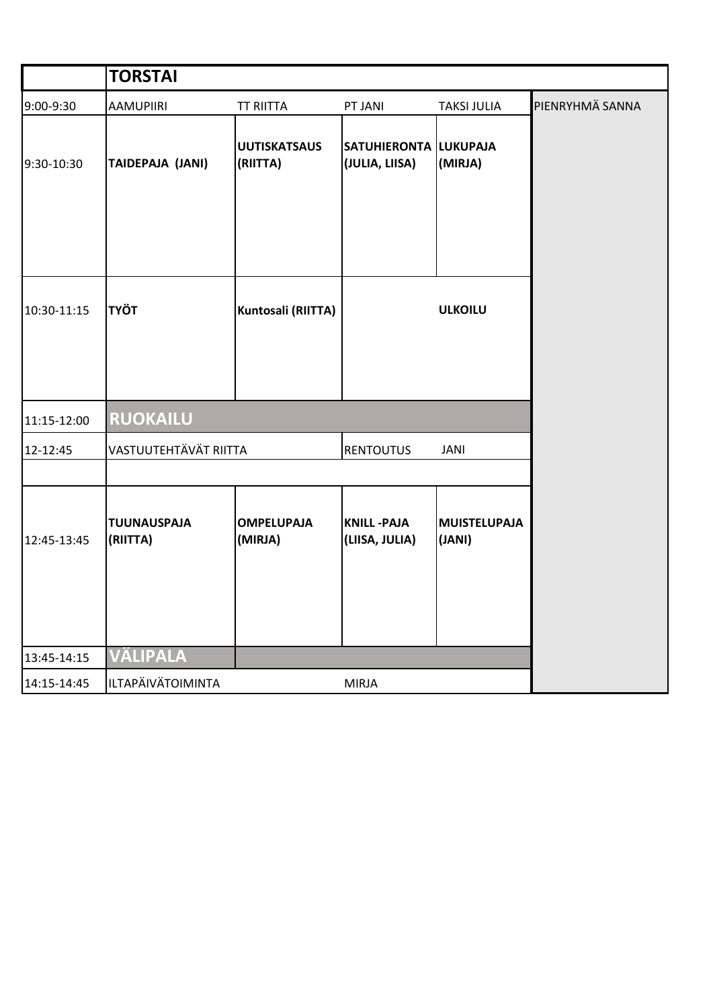|             | <b>TORSTAI</b>                 |                                 |                                                |                               |                 |
|-------------|--------------------------------|---------------------------------|------------------------------------------------|-------------------------------|-----------------|
| 9:00-9:30   | <b>AAMUPIIRI</b>               | <b>TT RIITTA</b>                | PT JANI                                        | <b>TAKSI JULIA</b>            | PIENRYHMÄ SANNA |
| 9:30-10:30  | TAIDEPAJA (JANI)               | <b>UUTISKATSAUS</b><br>(RIITTA) | <b>SATUHIERONTA LUKUPAJA</b><br>(JULIA, LIISA) | (MIRJA)                       |                 |
| 10:30-11:15 | <b>TYÖT</b>                    | Kuntosali (RIITTA)              |                                                | <b>ULKOILU</b>                |                 |
| 11:15-12:00 | <b>RUOKAILU</b>                |                                 |                                                |                               |                 |
| 12-12:45    | VASTUUTEHTÄVÄT RIITTA          |                                 | <b>RENTOUTUS</b>                               | <b>JANI</b>                   |                 |
|             |                                |                                 |                                                |                               |                 |
| 12:45-13:45 | <b>TUUNAUSPAJA</b><br>(RIITTA) | <b>OMPELUPAJA</b><br>(MIRJA)    | <b>KNILL-PAJA</b><br>(LIISA, JULIA)            | <b>MUISTELUPAJA</b><br>(JANI) |                 |
| 13:45-14:15 | <b>VÄLIPALA</b>                |                                 |                                                |                               |                 |
| 14:15-14:45 | ILTAPÄIVÄTOIMINTA              |                                 | MIRJA                                          |                               |                 |